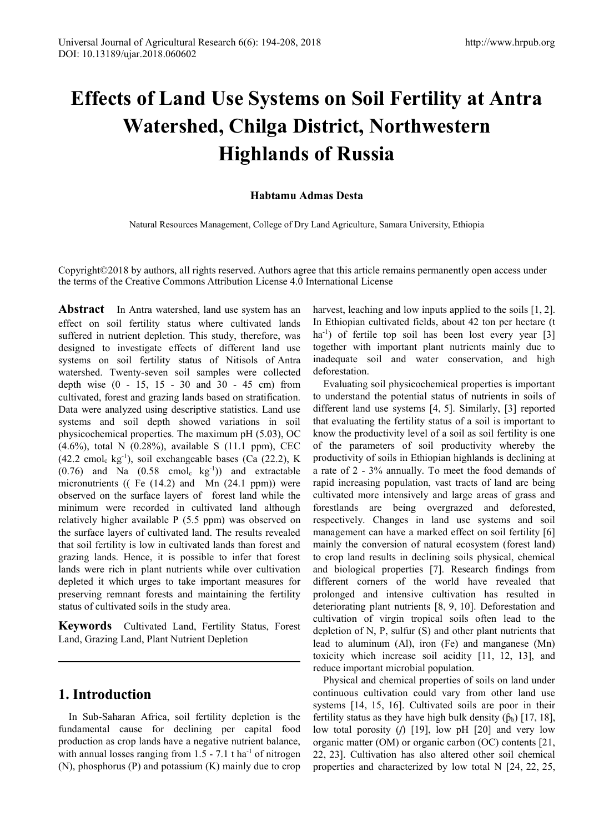# **Effects of Land Use Systems on Soil Fertility at Antra Watershed, Chilga District, Northwestern Highlands of Russia**

## **Habtamu Admas Desta**

Natural Resources Management, College of Dry Land Agriculture, Samara University, Ethiopia

Copyright©2018 by authors, all rights reserved. Authors agree that this article remains permanently open access under the terms of the Creative Commons Attribution License 4.0 International License

**Abstract** In Antra watershed, land use system has an effect on soil fertility status where cultivated lands suffered in nutrient depletion. This study, therefore, was designed to investigate effects of different land use systems on soil fertility status of Nitisols of Antra watershed. Twenty-seven soil samples were collected depth wise (0 - 15, 15 - 30 and 30 - 45 cm) from cultivated, forest and grazing lands based on stratification. Data were analyzed using descriptive statistics. Land use systems and soil depth showed variations in soil physicochemical properties. The maximum pH (5.03), OC  $(4.6\%)$ , total N  $(0.28\%)$ , available S  $(11.1 \text{ ppm})$ , CEC  $(42.2 \text{ cmol}_c \text{ kg}^{-1})$ , soil exchangeable bases (Ca  $(22.2)$ , K  $(0.76)$  and Na  $(0.58 \text{ cmol}_c \text{ kg}^{-1})$  and extractable micronutrients (( Fe (14.2) and Mn (24.1 ppm)) were observed on the surface layers of forest land while the minimum were recorded in cultivated land although relatively higher available P (5.5 ppm) was observed on the surface layers of cultivated land. The results revealed that soil fertility is low in cultivated lands than forest and grazing lands. Hence, it is possible to infer that forest lands were rich in plant nutrients while over cultivation depleted it which urges to take important measures for preserving remnant forests and maintaining the fertility status of cultivated soils in the study area.

**Keywords** Cultivated Land, Fertility Status, Forest Land, Grazing Land, Plant Nutrient Depletion

# **1. Introduction**

In Sub-Saharan Africa, soil fertility depletion is the fundamental cause for declining per capital food production as crop lands have a negative nutrient balance, with annual losses ranging from  $1.5 - 7.1$  t ha<sup>-1</sup> of nitrogen (N), phosphorus (P) and potassium (K) mainly due to crop harvest, leaching and low inputs applied to the soils [1, 2]. In Ethiopian cultivated fields, about 42 ton per hectare (t ha<sup>-1</sup>) of fertile top soil has been lost every year [3] together with important plant nutrients mainly due to inadequate soil and water conservation, and high deforestation.

Evaluating soil physicochemical properties is important to understand the potential status of nutrients in soils of different land use systems [4, 5]. Similarly, [3] reported that evaluating the fertility status of a soil is important to know the productivity level of a soil as soil fertility is one of the parameters of soil productivity whereby the productivity of soils in Ethiopian highlands is declining at a rate of 2 - 3% annually. To meet the food demands of rapid increasing population, vast tracts of land are being cultivated more intensively and large areas of grass and forestlands are being overgrazed and deforested, respectively. Changes in land use systems and soil management can have a marked effect on soil fertility [6] mainly the conversion of natural ecosystem (forest land) to crop land results in declining soils physical, chemical and biological properties [7]. Research findings from different corners of the world have revealed that prolonged and intensive cultivation has resulted in deteriorating plant nutrients [8, 9, 10]. Deforestation and cultivation of virgin tropical soils often lead to the depletion of N, P, sulfur (S) and other plant nutrients that lead to aluminum (Al), iron (Fe) and manganese (Mn) toxicity which increase soil acidity [11, 12, 13], and reduce important microbial population.

Physical and chemical properties of soils on land under continuous cultivation could vary from other land use systems [14, 15, 16]. Cultivated soils are poor in their fertility status as they have high bulk density  $(\beta_b)$  [17, 18], low total porosity  $(f)$  [19], low pH [20] and very low organic matter (OM) or organic carbon (OC) contents [21, 22, 23]. Cultivation has also altered other soil chemical properties and characterized by low total N [24, 22, 25,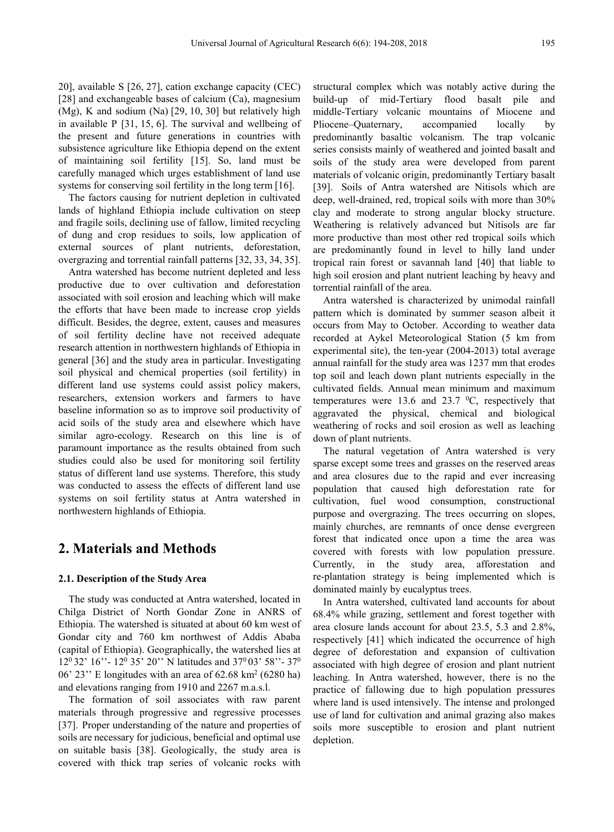20], available S [26, 27], cation exchange capacity (CEC) [28] and exchangeable bases of calcium (Ca), magnesium (Mg), K and sodium (Na) [29, 10, 30] but relatively high in available P [31, 15, 6]. The survival and wellbeing of the present and future generations in countries with subsistence agriculture like Ethiopia depend on the extent of maintaining soil fertility [15]. So, land must be carefully managed which urges establishment of land use systems for conserving soil fertility in the long term [16].

The factors causing for nutrient depletion in cultivated lands of highland Ethiopia include cultivation on steep and fragile soils, declining use of fallow, limited recycling of dung and crop residues to soils, low application of external sources of plant nutrients, deforestation, overgrazing and torrential rainfall patterns [32, 33, 34, 35].

Antra watershed has become nutrient depleted and less productive due to over cultivation and deforestation associated with soil erosion and leaching which will make the efforts that have been made to increase crop yields difficult. Besides, the degree, extent, causes and measures of soil fertility decline have not received adequate research attention in northwestern highlands of Ethiopia in general [36] and the study area in particular. Investigating soil physical and chemical properties (soil fertility) in different land use systems could assist policy makers, researchers, extension workers and farmers to have baseline information so as to improve soil productivity of acid soils of the study area and elsewhere which have similar agro-ecology. Research on this line is of paramount importance as the results obtained from such studies could also be used for monitoring soil fertility status of different land use systems. Therefore, this study was conducted to assess the effects of different land use systems on soil fertility status at Antra watershed in northwestern highlands of Ethiopia.

## **2. Materials and Methods**

#### **2.1. Description of the Study Area**

The study was conducted at Antra watershed, located in Chilga District of North Gondar Zone in ANRS of Ethiopia. The watershed is situated at about 60 km west of Gondar city and 760 km northwest of Addis Ababa (capital of Ethiopia). Geographically, the watershed lies at 120 32' 16''- 120 35' 20'' N latitudes and 370 03' 58''- 370 06' 23'' E longitudes with an area of 62.68 km2 (6280 ha) and elevations ranging from 1910 and 2267 m.a.s.l.

The formation of soil associates with raw parent materials through progressive and regressive processes [37]. Proper understanding of the nature and properties of soils are necessary for judicious, beneficial and optimal use on suitable basis [38]. Geologically, the study area is covered with thick trap series of volcanic rocks with

structural complex which was notably active during the build-up of mid-Tertiary flood basalt pile and middle-Tertiary volcanic mountains of Miocene and Pliocene–Quaternary, accompanied locally by predominantly basaltic volcanism. The trap volcanic series consists mainly of weathered and jointed basalt and soils of the study area were developed from parent materials of volcanic origin, predominantly Tertiary basalt [39]. Soils of Antra watershed are Nitisols which are deep, well-drained, red, tropical soils with more than 30% clay and moderate to strong angular blocky structure. Weathering is relatively advanced but Nitisols are far more productive than most other red tropical soils which are predominantly found in level to hilly land under tropical rain forest or savannah land [40] that liable to high soil erosion and plant nutrient leaching by heavy and torrential rainfall of the area.

Antra watershed is characterized by unimodal rainfall pattern which is dominated by summer season albeit it occurs from May to October. According to weather data recorded at Aykel Meteorological Station (5 km from experimental site), the ten-year (2004-2013) total average annual rainfall for the study area was 1237 mm that erodes top soil and leach down plant nutrients especially in the cultivated fields. Annual mean minimum and maximum temperatures were 13.6 and 23.7  $\mathrm{^0C}$ , respectively that aggravated the physical, chemical and biological weathering of rocks and soil erosion as well as leaching down of plant nutrients.

The natural vegetation of Antra watershed is very sparse except some trees and grasses on the reserved areas and area closures due to the rapid and ever increasing population that caused high deforestation rate for cultivation, fuel wood consumption, constructional purpose and overgrazing. The trees occurring on slopes, mainly churches, are remnants of once dense evergreen forest that indicated once upon a time the area was covered with forests with low population pressure. Currently, in the study area, afforestation and re-plantation strategy is being implemented which is dominated mainly by eucalyptus trees.

In Antra watershed, cultivated land accounts for about 68.4% while grazing, settlement and forest together with area closure lands account for about 23.5, 5.3 and 2.8%, respectively [41] which indicated the occurrence of high degree of deforestation and expansion of cultivation associated with high degree of erosion and plant nutrient leaching. In Antra watershed, however, there is no the practice of fallowing due to high population pressures where land is used intensively. The intense and prolonged use of land for cultivation and animal grazing also makes soils more susceptible to erosion and plant nutrient depletion.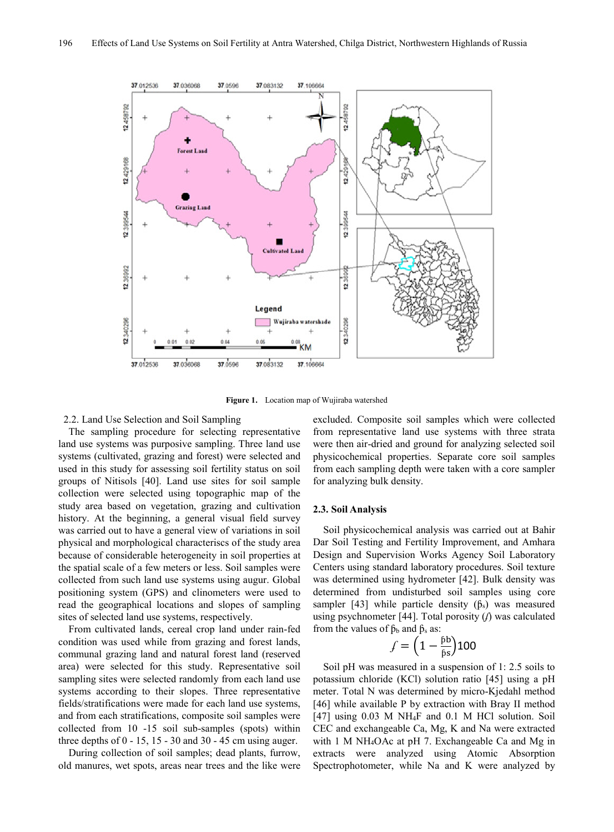

**Figure 1.** Location map of Wujiraba watershed

#### 2.2. Land Use Selection and Soil Sampling

The sampling procedure for selecting representative land use systems was purposive sampling. Three land use systems (cultivated, grazing and forest) were selected and used in this study for assessing soil fertility status on soil groups of Nitisols [40]. Land use sites for soil sample collection were selected using topographic map of the study area based on vegetation, grazing and cultivation history. At the beginning, a general visual field survey was carried out to have a general view of variations in soil physical and morphological characteriscs of the study area because of considerable heterogeneity in soil properties at the spatial scale of a few meters or less. Soil samples were collected from such land use systems using augur. Global positioning system (GPS) and clinometers were used to read the geographical locations and slopes of sampling sites of selected land use systems, respectively.

From cultivated lands, cereal crop land under rain-fed condition was used while from grazing and forest lands, communal grazing land and natural forest land (reserved area) were selected for this study. Representative soil sampling sites were selected randomly from each land use systems according to their slopes. Three representative fields/stratifications were made for each land use systems, and from each stratifications, composite soil samples were collected from 10 -15 soil sub-samples (spots) within three depths of  $0 - 15$ , 15 - 30 and 30 - 45 cm using auger.

During collection of soil samples; dead plants, furrow, old manures, wet spots, areas near trees and the like were excluded. Composite soil samples which were collected from representative land use systems with three strata were then air-dried and ground for analyzing selected soil physicochemical properties. Separate core soil samples from each sampling depth were taken with a core sampler for analyzing bulk density.

#### **2.3. Soil Analysis**

Soil physicochemical analysis was carried out at Bahir Dar Soil Testing and Fertility Improvement, and Amhara Design and Supervision Works Agency Soil Laboratory Centers using standard laboratory procedures. Soil texture was determined using hydrometer [42]. Bulk density was determined from undisturbed soil samples using core sampler [43] while particle density  $(\hat{p}_s)$  was measured using psychnometer [44]. Total porosity (*f*) was calculated from the values of  $\beta_b$  and  $\beta_s$  as:

$$
f = \left(1 - \frac{\beta b}{\beta s}\right)100
$$

Soil pH was measured in a suspension of 1: 2.5 soils to potassium chloride (KCl) solution ratio [45] using a pH meter. Total N was determined by micro-Kjedahl method [46] while available P by extraction with Bray II method [47] using 0.03 M NH4F and 0.1 M HCl solution. Soil CEC and exchangeable Ca, Mg, K and Na were extracted with 1 M NH4OAc at pH 7. Exchangeable Ca and Mg in extracts were analyzed using Atomic Absorption Spectrophotometer, while Na and K were analyzed by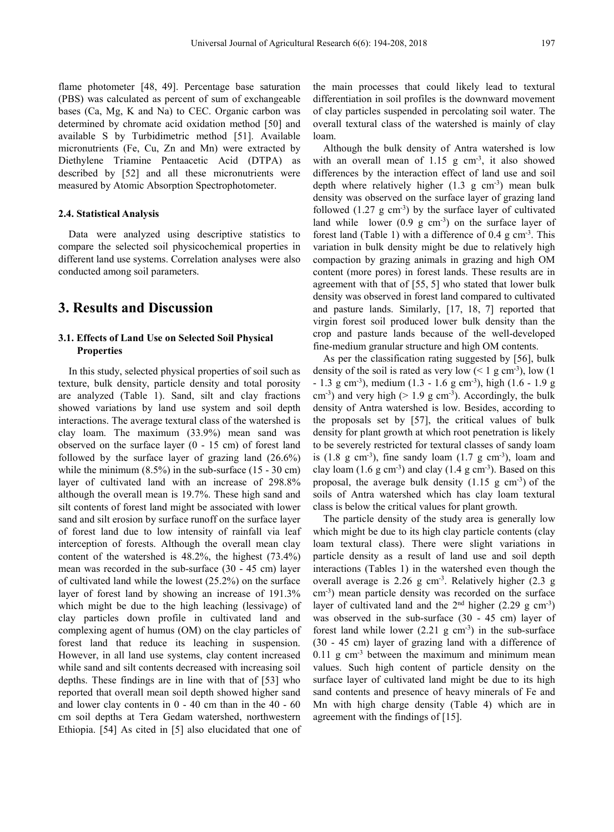flame photometer [48, 49]. Percentage base saturation (PBS) was calculated as percent of sum of exchangeable bases (Ca, Mg, K and Na) to CEC. Organic carbon was determined by chromate acid oxidation method [50] and available S by Turbidimetric method [51]. Available micronutrients (Fe, Cu, Zn and Mn) were extracted by Diethylene Triamine Pentaacetic Acid (DTPA) as described by [52] and all these micronutrients were measured by Atomic Absorption Spectrophotometer.

#### **2.4. Statistical Analysis**

Data were analyzed using descriptive statistics to compare the selected soil physicochemical properties in different land use systems. Correlation analyses were also conducted among soil parameters.

# **3. Results and Discussion**

## **3.1. Effects of Land Use on Selected Soil Physical Properties**

In this study, selected physical properties of soil such as texture, bulk density, particle density and total porosity are analyzed (Table 1). Sand, silt and clay fractions showed variations by land use system and soil depth interactions. The average textural class of the watershed is clay loam. The maximum (33.9%) mean sand was observed on the surface layer (0 - 15 cm) of forest land followed by the surface layer of grazing land (26.6%) while the minimum (8.5%) in the sub-surface (15 - 30 cm) layer of cultivated land with an increase of 298.8% although the overall mean is 19.7%. These high sand and silt contents of forest land might be associated with lower sand and silt erosion by surface runoff on the surface layer of forest land due to low intensity of rainfall via leaf interception of forests. Although the overall mean clay content of the watershed is 48.2%, the highest (73.4%) mean was recorded in the sub-surface (30 - 45 cm) layer of cultivated land while the lowest (25.2%) on the surface layer of forest land by showing an increase of 191.3% which might be due to the high leaching (lessivage) of clay particles down profile in cultivated land and complexing agent of humus (OM) on the clay particles of forest land that reduce its leaching in suspension. However, in all land use systems, clay content increased while sand and silt contents decreased with increasing soil depths. These findings are in line with that of [53] who reported that overall mean soil depth showed higher sand and lower clay contents in 0 - 40 cm than in the 40 - 60 cm soil depths at Tera Gedam watershed, northwestern Ethiopia. [54] As cited in [5] also elucidated that one of the main processes that could likely lead to textural differentiation in soil profiles is the downward movement of clay particles suspended in percolating soil water. The overall textural class of the watershed is mainly of clay loam.

Although the bulk density of Antra watershed is low with an overall mean of  $1.15$  g  $cm<sup>3</sup>$ , it also showed differences by the interaction effect of land use and soil depth where relatively higher  $(1.3 \text{ g cm}^{-3})$  mean bulk density was observed on the surface layer of grazing land followed  $(1.27 \text{ g cm}^3)$  by the surface layer of cultivated land while lower  $(0.9 \text{ g cm}^{-3})$  on the surface layer of forest land (Table 1) with a difference of 0.4 g cm<sup>-3</sup>. This variation in bulk density might be due to relatively high compaction by grazing animals in grazing and high OM content (more pores) in forest lands. These results are in agreement with that of [55, 5] who stated that lower bulk density was observed in forest land compared to cultivated and pasture lands. Similarly, [17, 18, 7] reported that virgin forest soil produced lower bulk density than the crop and pasture lands because of the well-developed fine-medium granular structure and high OM contents.

As per the classification rating suggested by [56], bulk density of the soil is rated as very low  $(< 1 \text{ g cm}^3)$ , low  $(1 \text{ g cm}^3)$  $-1.3$  g cm<sup>-3</sup>), medium (1.3  $-1.6$  g cm<sup>-3</sup>), high (1.6  $-1.9$  g  $\text{cm}^3$ ) and very high (> 1.9 g  $\text{cm}^3$ ). Accordingly, the bulk density of Antra watershed is low. Besides, according to the proposals set by [57], the critical values of bulk density for plant growth at which root penetration is likely to be severely restricted for textural classes of sandy loam is  $(1.8 \text{ g cm}^{-3})$ , fine sandy loam  $(1.7 \text{ g cm}^{-3})$ , loam and clay loam  $(1.6 \text{ g cm}^{-3})$  and clay  $(1.4 \text{ g cm}^{-3})$ . Based on this proposal, the average bulk density  $(1.15 \text{ g cm}^{-3})$  of the soils of Antra watershed which has clay loam textural class is below the critical values for plant growth.

The particle density of the study area is generally low which might be due to its high clay particle contents (clay loam textural class). There were slight variations in particle density as a result of land use and soil depth interactions (Tables 1) in the watershed even though the overall average is 2.26 g cm-3 . Relatively higher (2.3 g cm-3 ) mean particle density was recorded on the surface layer of cultivated land and the  $2<sup>nd</sup>$  higher (2.29 g cm<sup>-3</sup>) was observed in the sub-surface (30 - 45 cm) layer of forest land while lower  $(2.21 \text{ g cm}^{-3})$  in the sub-surface (30 - 45 cm) layer of grazing land with a difference of  $0.11$  g cm<sup>-3</sup> between the maximum and minimum mean values. Such high content of particle density on the surface layer of cultivated land might be due to its high sand contents and presence of heavy minerals of Fe and Mn with high charge density (Table 4) which are in agreement with the findings of [15].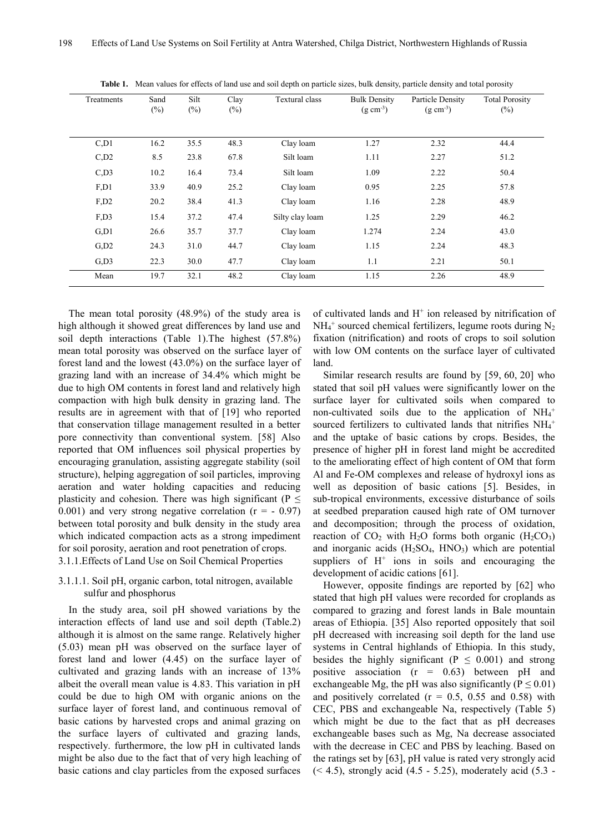| Treatments           | Sand<br>$(\%)$ | Silt<br>$(\%)$ | Clay<br>$(\%)$ | Textural class  | <b>Bulk Density</b><br>$(g \, cm^{-3})$ | Particle Density<br>$(g \text{ cm}^{-3})$ | <b>Total Porosity</b><br>$(\%)$ |  |
|----------------------|----------------|----------------|----------------|-----------------|-----------------------------------------|-------------------------------------------|---------------------------------|--|
| C <sub>1</sub>       | 16.2           | 35.5           | 48.3           | Clay loam       | 1.27                                    | 2.32                                      | 44.4                            |  |
| $C$ <sub>,D2</sub>   | 8.5            | 23.8           | 67.8           | Silt loam       | 1.11                                    | 2.27                                      | 51.2                            |  |
| $C$ <sub>,D3</sub>   | 10.2           | 16.4           | 73.4           | Silt loam       | 1.09                                    | 2.22                                      | 50.4                            |  |
| F, D1                | 33.9           | 40.9           | 25.2           | Clay loam       | 0.95                                    | 2.25                                      | 57.8                            |  |
| $F$ <sub>,D2</sub>   | 20.2           | 38.4           | 41.3           | Clay loam       | 1.16                                    | 2.28                                      | 48.9                            |  |
| F <sub>1</sub> D3    | 15.4           | 37.2           | 47.4           | Silty clay loam | 1.25                                    | 2.29                                      | 46.2                            |  |
| G.D1                 | 26.6           | 35.7           | 37.7           | Clay loam       | 1.274                                   | 2.24                                      | 43.0                            |  |
| $G$ <sub>D</sub> $2$ | 24.3           | 31.0           | 44.7           | Clay loam       | 1.15                                    | 2.24                                      | 48.3                            |  |
| $G$ <sub>D</sub> $3$ | 22.3           | 30.0           | 47.7           | Clay loam       | 1.1                                     | 2.21                                      | 50.1                            |  |
| Mean                 | 19.7           | 32.1           | 48.2           | Clay loam       | 1.15                                    | 2.26                                      | 48.9                            |  |

**Table 1.** Mean values for effects of land use and soil depth on particle sizes, bulk density, particle density and total porosity

The mean total porosity (48.9%) of the study area is high although it showed great differences by land use and soil depth interactions (Table 1).The highest (57.8%) mean total porosity was observed on the surface layer of forest land and the lowest (43.0%) on the surface layer of grazing land with an increase of 34.4% which might be due to high OM contents in forest land and relatively high compaction with high bulk density in grazing land. The results are in agreement with that of [19] who reported that conservation tillage management resulted in a better pore connectivity than conventional system. [58] Also reported that OM influences soil physical properties by encouraging granulation, assisting aggregate stability (soil structure), helping aggregation of soil particles, improving aeration and water holding capacities and reducing plasticity and cohesion. There was high significant ( $P \leq$ 0.001) and very strong negative correlation  $(r = -0.97)$ between total porosity and bulk density in the study area which indicated compaction acts as a strong impediment for soil porosity, aeration and root penetration of crops.

3.1.1.Effects of Land Use on Soil Chemical Properties

## 3.1.1.1. Soil pH, organic carbon, total nitrogen, available sulfur and phosphorus

In the study area, soil pH showed variations by the interaction effects of land use and soil depth (Table.2) although it is almost on the same range. Relatively higher (5.03) mean pH was observed on the surface layer of forest land and lower (4.45) on the surface layer of cultivated and grazing lands with an increase of 13% albeit the overall mean value is 4.83. This variation in pH could be due to high OM with organic anions on the surface layer of forest land, and continuous removal of basic cations by harvested crops and animal grazing on the surface layers of cultivated and grazing lands, respectively. furthermore, the low pH in cultivated lands might be also due to the fact that of very high leaching of basic cations and clay particles from the exposed surfaces

of cultivated lands and  $H^+$  ion released by nitrification of  $NH_4^+$  sourced chemical fertilizers, legume roots during  $N_2$ fixation (nitrification) and roots of crops to soil solution with low OM contents on the surface layer of cultivated land.

Similar research results are found by [59, 60, 20] who stated that soil pH values were significantly lower on the surface layer for cultivated soils when compared to non-cultivated soils due to the application of  $NH_4^+$ sourced fertilizers to cultivated lands that nitrifies  $NH_4$ <sup>+</sup> and the uptake of basic cations by crops. Besides, the presence of higher pH in forest land might be accredited to the ameliorating effect of high content of OM that form Al and Fe-OM complexes and release of hydroxyl ions as well as deposition of basic cations [5]. Besides, in sub-tropical environments, excessive disturbance of soils at seedbed preparation caused high rate of OM turnover and decomposition; through the process of oxidation, reaction of  $CO<sub>2</sub>$  with H<sub>2</sub>O forms both organic (H<sub>2</sub>CO<sub>3</sub>) and inorganic acids  $(H_2SO_4, HNO_3)$  which are potential suppliers of  $H^+$  ions in soils and encouraging the development of acidic cations [61].

However, opposite findings are reported by [62] who stated that high pH values were recorded for croplands as compared to grazing and forest lands in Bale mountain areas of Ethiopia. [35] Also reported oppositely that soil pH decreased with increasing soil depth for the land use systems in Central highlands of Ethiopia. In this study, besides the highly significant ( $P \leq 0.001$ ) and strong positive association (r = 0.63) between pH and exchangeable Mg, the pH was also significantly ( $P \le 0.01$ ) and positively correlated  $(r = 0.5, 0.55,$  and 0.58) with CEC, PBS and exchangeable Na, respectively (Table 5) which might be due to the fact that as pH decreases exchangeable bases such as Mg, Na decrease associated with the decrease in CEC and PBS by leaching. Based on the ratings set by [63], pH value is rated very strongly acid  $($  < 4.5), strongly acid (4.5 - 5.25), moderately acid (5.3 -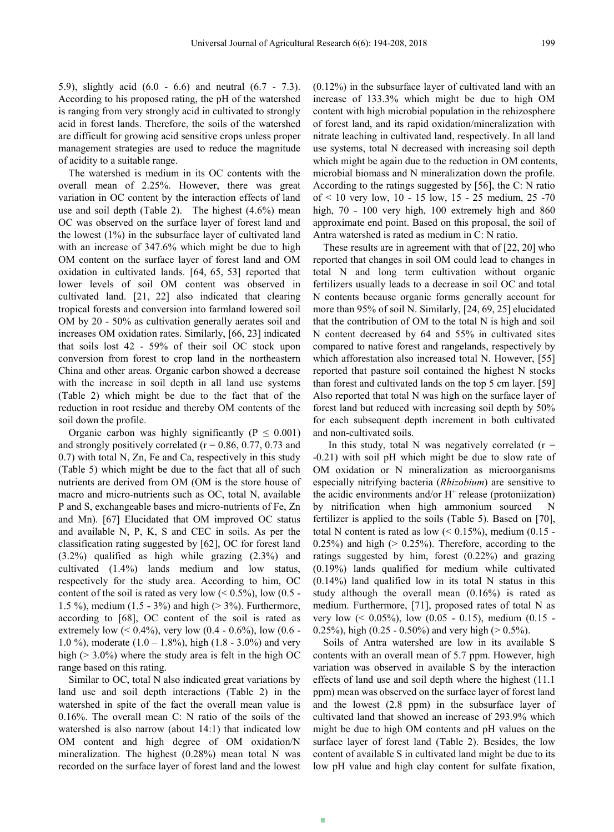5.9), slightly acid (6.0 - 6.6) and neutral (6.7 - 7.3). According to his proposed rating, the pH of the watershed

is ranging from very strongly acid in cultivated to strongly acid in forest lands. Therefore, the soils of the watershed are difficult for growing acid sensitive crops unless proper management strategies are used to reduce the magnitude of acidity to a suitable range.

The watershed is medium in its OC contents with the overall mean of 2.25%. However, there was great variation in OC content by the interaction effects of land use and soil depth (Table 2). The highest (4.6%) mean OC was observed on the surface layer of forest land and the lowest (1%) in the subsurface layer of cultivated land with an increase of 347.6% which might be due to high OM content on the surface layer of forest land and OM oxidation in cultivated lands. [64, 65, 53] reported that lower levels of soil OM content was observed in cultivated land. [21, 22] also indicated that clearing tropical forests and conversion into farmland lowered soil OM by 20 - 50% as cultivation generally aerates soil and increases OM oxidation rates. Similarly, [66, 23] indicated that soils lost 42 - 59% of their soil OC stock upon conversion from forest to crop land in the northeastern China and other areas. Organic carbon showed a decrease with the increase in soil depth in all land use systems (Table 2) which might be due to the fact that of the reduction in root residue and thereby OM contents of the soil down the profile.

Organic carbon was highly significantly ( $P \leq 0.001$ ) and strongly positively correlated ( $r = 0.86, 0.77, 0.73$  and 0.7) with total N, Zn, Fe and Ca, respectively in this study (Table 5) which might be due to the fact that all of such nutrients are derived from OM (OM is the store house of macro and micro-nutrients such as OC, total N, available P and S, exchangeable bases and micro-nutrients of Fe, Zn and Mn). [67] Elucidated that OM improved OC status and available N, P, K, S and CEC in soils. As per the classification rating suggested by [62], OC for forest land (3.2%) qualified as high while grazing (2.3%) and cultivated (1.4%) lands medium and low status, respectively for the study area. According to him, OC content of the soil is rated as very low  $(< 0.5\%$ ), low  $(0.5 -$ 1.5 %), medium (1.5 - 3%) and high (> 3%). Furthermore, according to [68], OC content of the soil is rated as extremely low (<  $0.4\%$ ), very low (0.4 - 0.6%), low (0.6 -1.0 %), moderate  $(1.0 - 1.8\%)$ , high  $(1.8 - 3.0\%)$  and very high ( $> 3.0\%$ ) where the study area is felt in the high OC range based on this rating.

Similar to OC, total N also indicated great variations by land use and soil depth interactions (Table 2) in the watershed in spite of the fact the overall mean value is 0.16%. The overall mean C: N ratio of the soils of the watershed is also narrow (about 14:1) that indicated low OM content and high degree of OM oxidation/N mineralization. The highest (0.28%) mean total N was recorded on the surface layer of forest land and the lowest

(0.12%) in the subsurface layer of cultivated land with an increase of 133.3% which might be due to high OM content with high microbial population in the rehizosphere of forest land, and its rapid oxidation/mineralization with nitrate leaching in cultivated land, respectively. In all land use systems, total N decreased with increasing soil depth which might be again due to the reduction in OM contents, microbial biomass and N mineralization down the profile. According to the ratings suggested by [56], the C: N ratio of < 10 very low, 10 - 15 low, 15 - 25 medium, 25 -70 high, 70 - 100 very high, 100 extremely high and 860 approximate end point. Based on this proposal, the soil of Antra watershed is rated as medium in C: N ratio.

These results are in agreement with that of [22, 20] who reported that changes in soil OM could lead to changes in total N and long term cultivation without organic fertilizers usually leads to a decrease in soil OC and total N contents because organic forms generally account for more than 95% of soil N. Similarly, [24, 69, 25] elucidated that the contribution of OM to the total N is high and soil N content decreased by 64 and 55% in cultivated sites compared to native forest and rangelands, respectively by which afforestation also increased total N. However, [55] reported that pasture soil contained the highest N stocks than forest and cultivated lands on the top 5 cm layer. [59] Also reported that total N was high on the surface layer of forest land but reduced with increasing soil depth by 50% for each subsequent depth increment in both cultivated and non-cultivated soils.

In this study, total N was negatively correlated  $(r =$ -0.21) with soil pH which might be due to slow rate of OM oxidation or N mineralization as microorganisms especially nitrifying bacteria (*Rhizobium*) are sensitive to the acidic environments and/or  $H^+$  release (protoniization) by nitrification when high ammonium sourced N fertilizer is applied to the soils (Table 5). Based on [70], total N content is rated as low  $(< 0.15\%$ ), medium  $(0.15 -$ 0.25%) and high  $(> 0.25\%)$ . Therefore, according to the ratings suggested by him, forest (0.22%) and grazing (0.19%) lands qualified for medium while cultivated (0.14%) land qualified low in its total N status in this study although the overall mean (0.16%) is rated as medium. Furthermore, [71], proposed rates of total N as very low  $(< 0.05\%$ ), low  $(0.05 - 0.15)$ , medium  $(0.15 - 0.15)$ 0.25%), high (0.25 - 0.50%) and very high ( $> 0.5\%$ ).

Soils of Antra watershed are low in its available S contents with an overall mean of 5.7 ppm. However, high variation was observed in available S by the interaction effects of land use and soil depth where the highest (11.1 ppm) mean was observed on the surface layer of forest land and the lowest (2.8 ppm) in the subsurface layer of cultivated land that showed an increase of 293.9% which might be due to high OM contents and pH values on the surface layer of forest land (Table 2). Besides, the low content of available S in cultivated land might be due to its low pH value and high clay content for sulfate fixation,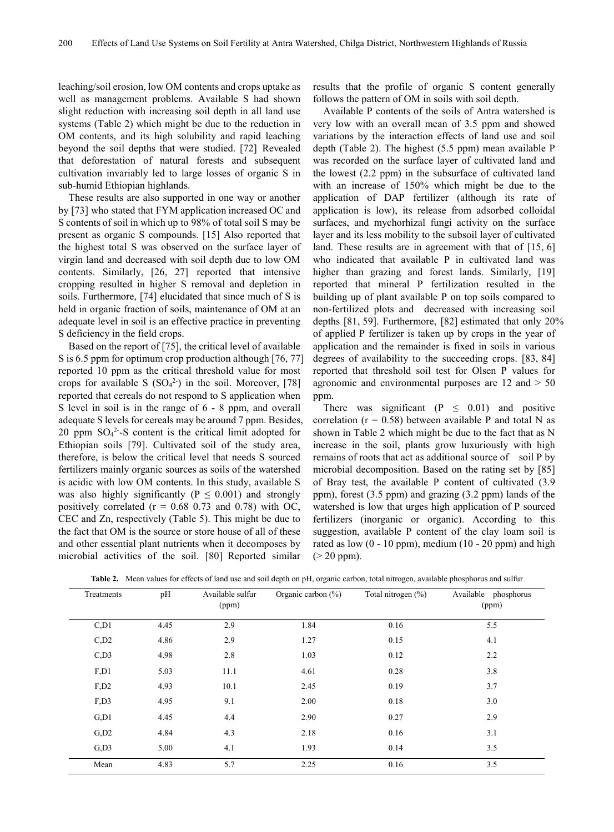leaching/soil erosion, low OM contents and crops uptake as well as management problems. Available S had shown slight reduction with increasing soil depth in all land use systems (Table 2) which might be due to the reduction in OM contents, and its high solubility and rapid leaching beyond the soil depths that were studied. [72] Revealed that deforestation of natural forests and subsequent cultivation invariably led to large losses of organic S in sub-humid Ethiopian highlands.

These results are also supported in one way or another by [73] who stated that FYM application increased OC and S contents of soil in which up to 98% of total soil S may be present as organic S compounds. [15] Also reported that the highest total S was observed on the surface layer of virgin land and decreased with soil depth due to low OM contents. Similarly, [26, 27] reported that intensive cropping resulted in higher S removal and depletion in soils. Furthermore, [74] elucidated that since much of S is held in organic fraction of soils, maintenance of OM at an adequate level in soil is an effective practice in preventing S deficiency in the field crops.

Based on the report of [75], the critical level of available S is 6.5 ppm for optimum crop production although [76, 77] reported 10 ppm as the critical threshold value for most crops for available S  $(SO<sub>4</sub><sup>2</sup>)$  in the soil. Moreover, [78] reported that cereals do not respond to S application when S level in soil is in the range of 6 - 8 ppm, and overall adequate S levels for cereals may be around 7 ppm. Besides, 20 ppm  $SO_4^2$ -S content is the critical limit adopted for Ethiopian soils [79]. Cultivated soil of the study area, therefore, is below the critical level that needs S sourced fertilizers mainly organic sources as soils of the watershed is acidic with low OM contents. In this study, available S was also highly significantly ( $P \leq 0.001$ ) and strongly positively correlated ( $r = 0.68$  0.73 and 0.78) with OC, CEC and Zn, respectively (Table 5). This might be due to the fact that OM is the source or store house of all of these and other essential plant nutrients when it decomposes by microbial activities of the soil. [80] Reported similar

results that the profile of organic S content generally follows the pattern of OM in soils with soil depth.

Available P contents of the soils of Antra watershed is very low with an overall mean of 3.5 ppm and showed variations by the interaction effects of land use and soil depth (Table 2). The highest (5.5 ppm) mean available P was recorded on the surface layer of cultivated land and the lowest (2.2 ppm) in the subsurface of cultivated land with an increase of 150% which might be due to the application of DAP fertilizer (although its rate of application is low), its release from adsorbed colloidal surfaces, and mychorhizal fungi activity on the surface layer and its less mobility to the subsoil layer of cultivated land. These results are in agreement with that of [15, 6] who indicated that available P in cultivated land was higher than grazing and forest lands. Similarly, [19] reported that mineral P fertilization resulted in the building up of plant available P on top soils compared to non-fertilized plots and decreased with increasing soil depths [81, 59]. Furthermore, [82] estimated that only 20% of applied P fertilizer is taken up by crops in the year of application and the remainder is fixed in soils in various degrees of availability to the succeeding crops. [83, 84] reported that threshold soil test for Olsen P values for agronomic and environmental purposes are 12 and > 50 ppm.

There was significant ( $P \leq 0.01$ ) and positive correlation ( $r = 0.58$ ) between available P and total N as shown in Table 2 which might be due to the fact that as N increase in the soil, plants grow luxuriously with high remains of roots that act as additional source of soil P by microbial decomposition. Based on the rating set by [85] of Bray test, the available P content of cultivated (3.9 ppm), forest (3.5 ppm) and grazing (3.2 ppm) lands of the watershed is low that urges high application of P sourced fertilizers (inorganic or organic). According to this suggestion, available P content of the clay loam soil is rated as low  $(0 - 10$  ppm), medium  $(10 - 20$  ppm) and high  $(> 20$  ppm).

| Treatments           | pH   | Available sulfur<br>(ppm) | Organic carbon (%) | Total nitrogen (%) | Available phosphorus<br>(ppm) |
|----------------------|------|---------------------------|--------------------|--------------------|-------------------------------|
| C <sub>1</sub>       | 4.45 | 2.9                       | 1.84               | 0.16               | 5.5                           |
| $C$ <sub>D</sub> $2$ | 4.86 | 2.9                       | 1.27               | 0.15               | 4.1                           |
| C <sub>1</sub> D3    | 4.98 | 2.8                       | 1.03               | 0.12               | 2.2                           |
| F <sub>1</sub>       | 5.03 | 11.1                      | 4.61               | 0.28               | 3.8                           |
| $F1$ D <sub>2</sub>  | 4.93 | 10.1                      | 2.45               | 0.19               | 3.7                           |
| F <sub>1</sub> D3    | 4.95 | 9.1                       | 2.00               | 0.18               | 3.0                           |
| G.D1                 | 4.45 | 4.4                       | 2.90               | 0.27               | 2.9                           |
| $G$ <sub>D</sub> $2$ | 4.84 | 4.3                       | 2.18               | 0.16               | 3.1                           |
| $G$ <sub>D</sub> $3$ | 5.00 | 4.1                       | 1.93               | 0.14               | 3.5                           |
| Mean                 | 4.83 | 5.7                       | 2.25               | 0.16               | 3.5                           |

**Table 2.** Mean values for effects of land use and soil depth on pH, organic carbon, total nitrogen, available phosphorus and sulfur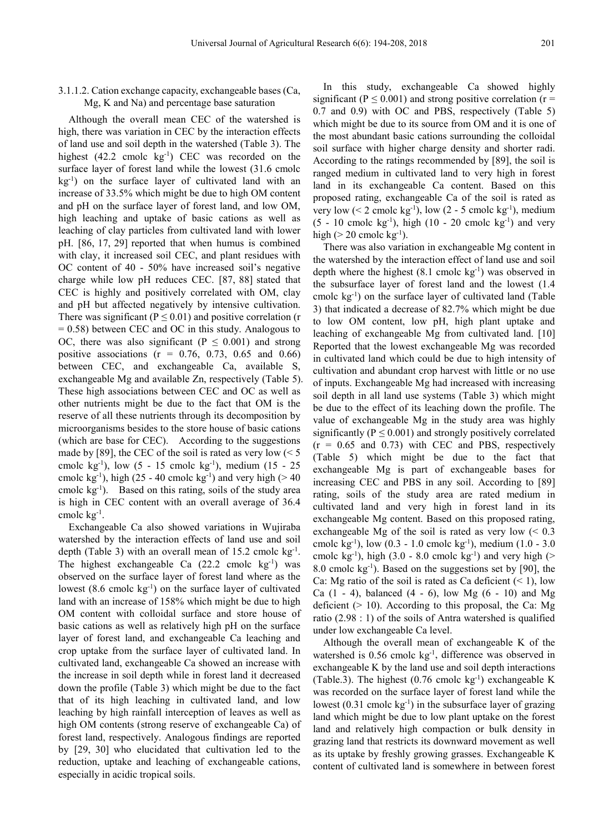#### 3.1.1.2. Cation exchange capacity, exchangeable bases (Ca, Mg, K and Na) and percentage base saturation

Although the overall mean CEC of the watershed is high, there was variation in CEC by the interaction effects of land use and soil depth in the watershed (Table 3). The highest (42.2 cmolc kg<sup>-1</sup>) CEC was recorded on the surface layer of forest land while the lowest (31.6 cmolc kg-1 ) on the surface layer of cultivated land with an increase of 33.5% which might be due to high OM content and pH on the surface layer of forest land, and low OM, high leaching and uptake of basic cations as well as leaching of clay particles from cultivated land with lower pH. [86, 17, 29] reported that when humus is combined with clay, it increased soil CEC, and plant residues with OC content of 40 - 50% have increased soil's negative charge while low pH reduces CEC. [87, 88] stated that CEC is highly and positively correlated with OM, clay and pH but affected negatively by intensive cultivation. There was significant ( $P \le 0.01$ ) and positive correlation (r  $= 0.58$ ) between CEC and OC in this study. Analogous to OC, there was also significant ( $P \le 0.001$ ) and strong positive associations ( $r = 0.76, 0.73, 0.65, 0.66$ ) between CEC, and exchangeable Ca, available S, exchangeable Mg and available Zn, respectively (Table 5). These high associations between CEC and OC as well as other nutrients might be due to the fact that OM is the reserve of all these nutrients through its decomposition by microorganisms besides to the store house of basic cations (which are base for CEC). According to the suggestions made by [89], the CEC of the soil is rated as very low  $(< 5$ cmolc kg-1 ), low (5 - 15 cmolc kg-1 ), medium (15 - 25 cmolc  $kg^{-1}$ ), high (25 - 40 cmolc  $kg^{-1}$ ) and very high (> 40 cmolc kg-1 ). Based on this rating, soils of the study area is high in CEC content with an overall average of 36.4 cmolc kg-1 .

Exchangeable Ca also showed variations in Wujiraba watershed by the interaction effects of land use and soil depth (Table 3) with an overall mean of 15.2 cmolc kg<sup>-1</sup>. The highest exchangeable Ca  $(22.2 \text{ cmolc kg}^{-1})$  was observed on the surface layer of forest land where as the lowest (8.6 cmolc kg-1 ) on the surface layer of cultivated land with an increase of 158% which might be due to high OM content with colloidal surface and store house of basic cations as well as relatively high pH on the surface layer of forest land, and exchangeable Ca leaching and crop uptake from the surface layer of cultivated land. In cultivated land, exchangeable Ca showed an increase with the increase in soil depth while in forest land it decreased down the profile (Table 3) which might be due to the fact that of its high leaching in cultivated land, and low leaching by high rainfall interception of leaves as well as high OM contents (strong reserve of exchangeable Ca) of forest land, respectively. Analogous findings are reported by [29, 30] who elucidated that cultivation led to the reduction, uptake and leaching of exchangeable cations, especially in acidic tropical soils.

In this study, exchangeable Ca showed highly significant ( $P \le 0.001$ ) and strong positive correlation ( $r =$ 0.7 and 0.9) with OC and PBS, respectively (Table 5) which might be due to its source from OM and it is one of the most abundant basic cations surrounding the colloidal soil surface with higher charge density and shorter radi. According to the ratings recommended by [89], the soil is ranged medium in cultivated land to very high in forest land in its exchangeable Ca content. Based on this proposed rating, exchangeable Ca of the soil is rated as very low (< 2 cmolc  $kg^{-1}$ ), low (2 - 5 cmolc  $kg^{-1}$ ), medium  $(5 - 10$  cmolc  $kg^{-1}$ ), high  $(10 - 20$  cmolc  $kg^{-1}$ ) and very high ( $>$  20 cmolc kg<sup>-1</sup>).

There was also variation in exchangeable Mg content in the watershed by the interaction effect of land use and soil depth where the highest  $(8.1 \text{ cmolc kg}^{-1})$  was observed in the subsurface layer of forest land and the lowest (1.4 cmolc kg-1 ) on the surface layer of cultivated land (Table 3) that indicated a decrease of 82.7% which might be due to low OM content, low pH, high plant uptake and leaching of exchangeable Mg from cultivated land. [10] Reported that the lowest exchangeable Mg was recorded in cultivated land which could be due to high intensity of cultivation and abundant crop harvest with little or no use of inputs. Exchangeable Mg had increased with increasing soil depth in all land use systems (Table 3) which might be due to the effect of its leaching down the profile. The value of exchangeable Mg in the study area was highly significantly ( $P \le 0.001$ ) and strongly positively correlated  $(r = 0.65$  and 0.73) with CEC and PBS, respectively (Table 5) which might be due to the fact that exchangeable Mg is part of exchangeable bases for increasing CEC and PBS in any soil. According to [89] rating, soils of the study area are rated medium in cultivated land and very high in forest land in its exchangeable Mg content. Based on this proposed rating, exchangeable Mg of the soil is rated as very low  $(< 0.3$ cmolc kg-1 ), low (0.3 - 1.0 cmolc kg-1 ), medium (1.0 - 3.0 cmolc  $kg^{-1}$ ), high (3.0 - 8.0 cmolc  $kg^{-1}$ ) and very high (> 8.0 cmolc kg-1 ). Based on the suggestions set by [90], the Ca: Mg ratio of the soil is rated as Ca deficient  $($  < 1), low Ca  $(1 - 4)$ , balanced  $(4 - 6)$ , low Mg  $(6 - 10)$  and Mg deficient  $(> 10)$ . According to this proposal, the Ca: Mg ratio (2.98 : 1) of the soils of Antra watershed is qualified under low exchangeable Ca level.

Although the overall mean of exchangeable K of the watershed is 0.56 cmolc kg<sup>-1</sup>, difference was observed in exchangeable K by the land use and soil depth interactions (Table.3). The highest  $(0.76 \text{ cmolc kg}^{-1})$  exchangeable K was recorded on the surface layer of forest land while the lowest (0.31 cmolc kg<sup>-1</sup>) in the subsurface layer of grazing land which might be due to low plant uptake on the forest land and relatively high compaction or bulk density in grazing land that restricts its downward movement as well as its uptake by freshly growing grasses. Exchangeable K content of cultivated land is somewhere in between forest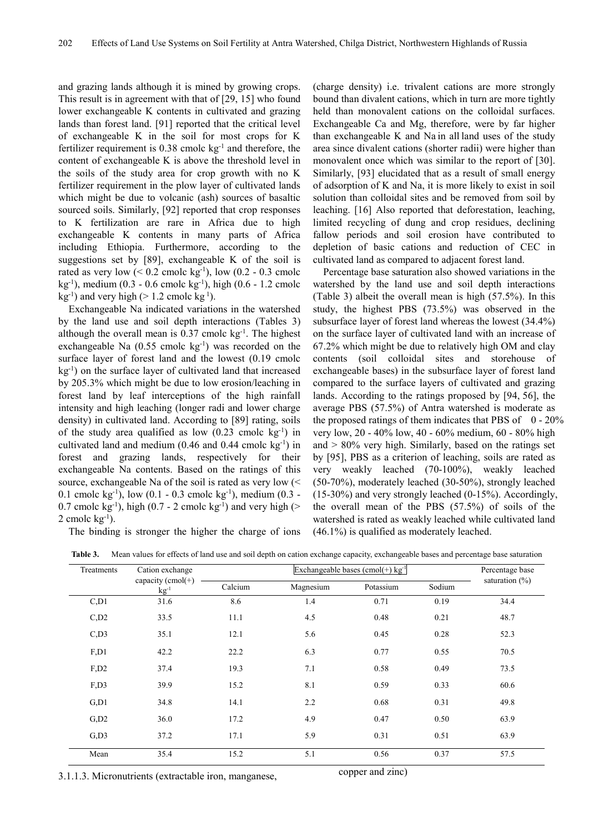and grazing lands although it is mined by growing crops. This result is in agreement with that of [29, 15] who found lower exchangeable K contents in cultivated and grazing lands than forest land. [91] reported that the critical level of exchangeable K in the soil for most crops for K fertilizer requirement is  $0.38$  cmolc kg<sup>-1</sup> and therefore, the content of exchangeable K is above the threshold level in the soils of the study area for crop growth with no K fertilizer requirement in the plow layer of cultivated lands which might be due to volcanic (ash) sources of basaltic sourced soils. Similarly, [92] reported that crop responses to K fertilization are rare in Africa due to high exchangeable K contents in many parts of Africa including Ethiopia. Furthermore, according to the suggestions set by [89], exchangeable K of the soil is rated as very low  $(< 0.2$  cmolc kg<sup>-1</sup>), low  $(0.2 - 0.3$  cmolc kg-1 ), medium (0.3 - 0.6 cmolc kg-1 ), high (0.6 - 1.2 cmolc  $kg^{-1}$ ) and very high (> 1.2 cmolc kg<sup>1</sup>).

Exchangeable Na indicated variations in the watershed by the land use and soil depth interactions (Tables 3) although the overall mean is  $0.37$  cmolc kg<sup>-1</sup>. The highest exchangeable Na  $(0.55 \text{ cmolc kg}^{-1})$  was recorded on the surface layer of forest land and the lowest (0.19 cmolc kg-1 ) on the surface layer of cultivated land that increased by 205.3% which might be due to low erosion/leaching in forest land by leaf interceptions of the high rainfall intensity and high leaching (longer radi and lower charge density) in cultivated land. According to [89] rating, soils of the study area qualified as low  $(0.23 \text{ cmolc kg}^{-1})$  in cultivated land and medium  $(0.46$  and  $0.44$  cmolc kg<sup>-1</sup>) in forest and grazing lands, respectively for their exchangeable Na contents. Based on the ratings of this source, exchangeable Na of the soil is rated as very low (< 0.1 cmolc  $kg^{-1}$ ), low (0.1 - 0.3 cmolc  $kg^{-1}$ ), medium (0.3 -0.7 cmolc  $kg^{-1}$ ), high (0.7 - 2 cmolc  $kg^{-1}$ ) and very high (>  $2$  cmolc  $kg^{-1}$ ).

The binding is stronger the higher the charge of ions

(charge density) i.e. trivalent cations are more strongly bound than divalent cations, which in turn are more tightly held than monovalent cations on the colloidal surfaces. Exchangeable Ca and Mg, therefore, were by far higher than exchangeable K and Na in all land uses of the study area since divalent cations (shorter radii) were higher than monovalent once which was similar to the report of [30]. Similarly, [93] elucidated that as a result of small energy of adsorption of K and Na, it is more likely to exist in soil solution than colloidal sites and be removed from soil by leaching. [16] Also reported that deforestation, leaching, limited recycling of dung and crop residues, declining fallow periods and soil erosion have contributed to depletion of basic cations and reduction of CEC in cultivated land as compared to adjacent forest land.

Percentage base saturation also showed variations in the watershed by the land use and soil depth interactions (Table 3) albeit the overall mean is high (57.5%). In this study, the highest PBS (73.5%) was observed in the subsurface layer of forest land whereas the lowest (34.4%) on the surface layer of cultivated land with an increase of 67.2% which might be due to relatively high OM and clay contents (soil colloidal sites and storehouse of exchangeable bases) in the subsurface layer of forest land compared to the surface layers of cultivated and grazing lands. According to the ratings proposed by [94, 56], the average PBS (57.5%) of Antra watershed is moderate as the proposed ratings of them indicates that PBS of  $0 - 20\%$ very low, 20 - 40% low, 40 - 60% medium, 60 - 80% high and  $> 80\%$  very high. Similarly, based on the ratings set by [95], PBS as a criterion of leaching, soils are rated as very weakly leached (70-100%), weakly leached (50-70%), moderately leached (30-50%), strongly leached (15-30%) and very strongly leached (0-15%). Accordingly, the overall mean of the PBS (57.5%) of soils of the watershed is rated as weakly leached while cultivated land (46.1%) is qualified as moderately leached.

| Treatments          | Cation exchange                |         | Percentage base |           |        |                   |
|---------------------|--------------------------------|---------|-----------------|-----------|--------|-------------------|
|                     | capacity (cmol(+)<br>$kg^{-1}$ | Calcium | Magnesium       | Potassium | Sodium | saturation $(\%)$ |
| C <sub>1</sub>      | 31.6                           | 8.6     | 1.4             | 0.71      | 0.19   | 34.4              |
| $C$ <sub>,D2</sub>  | 33.5                           | 11.1    | 4.5             | 0.48      | 0.21   | 48.7              |
| C <sub>1</sub> D3   | 35.1                           | 12.1    | 5.6             | 0.45      | 0.28   | 52.3              |
| F.D1                | 42.2                           | 22.2    | 6.3             | 0.77      | 0.55   | 70.5              |
| $F1$ D <sub>2</sub> | 37.4                           | 19.3    | 7.1             | 0.58      | 0.49   | 73.5              |
| F <sub>1</sub> D3   | 39.9                           | 15.2    | 8.1             | 0.59      | 0.33   | 60.6              |
| G <sub>1</sub>      | 34.8                           | 14.1    | 2.2             | 0.68      | 0.31   | 49.8              |
| G <sub>1</sub> D2   | 36.0                           | 17.2    | 4.9             | 0.47      | 0.50   | 63.9              |
| G <sub>1</sub> D3   | 37.2                           | 17.1    | 5.9             | 0.31      | 0.51   | 63.9              |
| Mean                | 35.4                           | 15.2    | 5.1             | 0.56      | 0.37   | 57.5              |

Table 3. Mean values for effects of land use and soil depth on cation exchange capacity, exchangeable bases and percentage base saturation

3.1.1.3. Micronutrients (extractable iron, manganese, copper and zinc)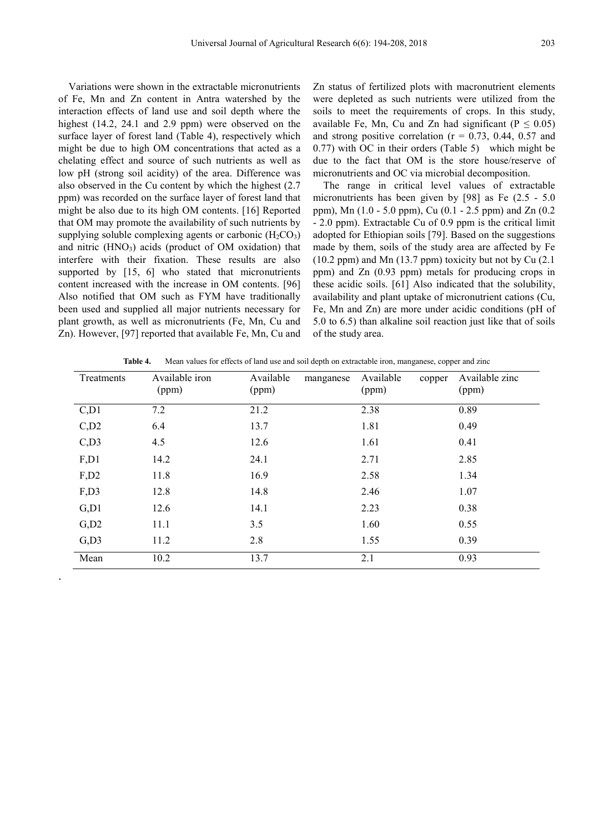Variations were shown in the extractable micronutrients of Fe, Mn and Zn content in Antra watershed by the interaction effects of land use and soil depth where the highest (14.2, 24.1 and 2.9 ppm) were observed on the surface layer of forest land (Table 4), respectively which might be due to high OM concentrations that acted as a chelating effect and source of such nutrients as well as low pH (strong soil acidity) of the area. Difference was also observed in the Cu content by which the highest (2.7 ppm) was recorded on the surface layer of forest land that might be also due to its high OM contents. [16] Reported that OM may promote the availability of such nutrients by supplying soluble complexing agents or carbonic  $(H_2CO_3)$ and nitric  $(HNO<sub>3</sub>)$  acids (product of OM oxidation) that interfere with their fixation. These results are also supported by [15, 6] who stated that micronutrients content increased with the increase in OM contents. [96] Also notified that OM such as FYM have traditionally been used and supplied all major nutrients necessary for plant growth, as well as micronutrients (Fe, Mn, Cu and Zn). However, [97] reported that available Fe, Mn, Cu and

.

Zn status of fertilized plots with macronutrient elements were depleted as such nutrients were utilized from the soils to meet the requirements of crops. In this study, available Fe, Mn, Cu and Zn had significant ( $P \le 0.05$ ) and strong positive correlation ( $r = 0.73$ , 0.44, 0.57 and 0.77) with OC in their orders (Table 5) which might be due to the fact that OM is the store house/reserve of micronutrients and OC via microbial decomposition.

The range in critical level values of extractable micronutrients has been given by [98] as Fe (2.5 - 5.0 ppm), Mn (1.0 - 5.0 ppm), Cu (0.1 - 2.5 ppm) and Zn (0.2 - 2.0 ppm). Extractable Cu of 0.9 ppm is the critical limit adopted for Ethiopian soils [79]. Based on the suggestions made by them, soils of the study area are affected by Fe (10.2 ppm) and Mn (13.7 ppm) toxicity but not by Cu (2.1 ppm) and Zn (0.93 ppm) metals for producing crops in these acidic soils. [61] Also indicated that the solubility, availability and plant uptake of micronutrient cations (Cu, Fe, Mn and Zn) are more under acidic conditions (pH of 5.0 to 6.5) than alkaline soil reaction just like that of soils of the study area.

| Treatments         | Available iron<br>(ppm) | Available<br>manganese<br>(ppm) | Available<br>copper<br>(ppm) | Available zinc<br>(ppm) |
|--------------------|-------------------------|---------------------------------|------------------------------|-------------------------|
| C <sub>1</sub>     | 7.2                     | 21.2                            | 2.38                         | 0.89                    |
| $C$ , $D2$         | 6.4                     | 13.7                            | 1.81                         | 0.49                    |
| $C$ , D3           | 4.5                     | 12.6                            | 1.61                         | 0.41                    |
| F, D1              | 14.2                    | 24.1                            | 2.71                         | 2.85                    |
| F, D2              | 11.8                    | 16.9                            | 2.58                         | 1.34                    |
| F,D3               | 12.8                    | 14.8                            | 2.46                         | 1.07                    |
| G, D1              | 12.6                    | 14.1                            | 2.23                         | 0.38                    |
| $G$ <sub>,D2</sub> | 11.1                    | 3.5                             | 1.60                         | 0.55                    |
| $G$ <sub>,D3</sub> | 11.2                    | 2.8                             | 1.55                         | 0.39                    |
| Mean               | 10.2                    | 13.7                            | 2.1                          | 0.93                    |

**Table 4.** Mean values for effects of land use and soil depth on extractable iron, manganese, copper and zinc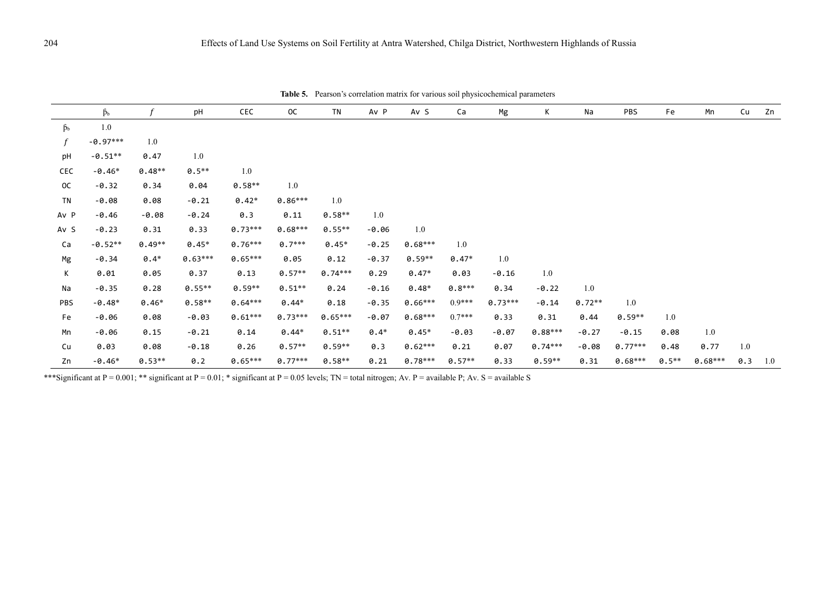|                 | $\beta_b$  | f        | pH        | CEC       | <b>OC</b> | <b>TN</b> | Av P    | Av S      | Ca       | Mg        | K         | Na       | PBS       | Fe       | Mn        | Cu  | Zn  |
|-----------------|------------|----------|-----------|-----------|-----------|-----------|---------|-----------|----------|-----------|-----------|----------|-----------|----------|-----------|-----|-----|
| $\beta_{\rm b}$ | $1.0\,$    |          |           |           |           |           |         |           |          |           |           |          |           |          |           |     |     |
| f               | $-0.97***$ | 1.0      |           |           |           |           |         |           |          |           |           |          |           |          |           |     |     |
| pH              | $-0.51**$  | 0.47     | 1.0       |           |           |           |         |           |          |           |           |          |           |          |           |     |     |
| CEC             | $-0.46*$   | $0.48**$ | $0.5**$   | 1.0       |           |           |         |           |          |           |           |          |           |          |           |     |     |
| 0C              | $-0.32$    | 0.34     | 0.04      | $0.58**$  | 1.0       |           |         |           |          |           |           |          |           |          |           |     |     |
| TN              | $-0.08$    | 0.08     | $-0.21$   | $0.42*$   | $0.86***$ | 1.0       |         |           |          |           |           |          |           |          |           |     |     |
| Av P            | $-0.46$    | $-0.08$  | $-0.24$   | 0.3       | 0.11      | $0.58**$  | 1.0     |           |          |           |           |          |           |          |           |     |     |
| Av S            | $-0.23$    | 0.31     | 0.33      | $0.73***$ | $0.68***$ | $0.55**$  | $-0.06$ | 1.0       |          |           |           |          |           |          |           |     |     |
| Ca              | $-0.52**$  | $0.49**$ | $0.45*$   | $0.76***$ | $0.7***$  | $0.45*$   | $-0.25$ | $0.68***$ | 1.0      |           |           |          |           |          |           |     |     |
| Mg              | $-0.34$    | $0.4*$   | $0.63***$ | $0.65***$ | 0.05      | 0.12      | $-0.37$ | $0.59**$  | $0.47*$  | 1.0       |           |          |           |          |           |     |     |
| К               | 0.01       | 0.05     | 0.37      | 0.13      | $0.57**$  | $0.74***$ | 0.29    | $0.47*$   | 0.03     | $-0.16$   | 1.0       |          |           |          |           |     |     |
| Na              | $-0.35$    | 0.28     | $0.55**$  | $0.59**$  | $0.51**$  | 0.24      | $-0.16$ | $0.48*$   | $0.8***$ | 0.34      | $-0.22$   | 1.0      |           |          |           |     |     |
| PBS             | $-0.48*$   | $0.46*$  | $0.58**$  | $0.64***$ | $0.44*$   | 0.18      | $-0.35$ | $0.66***$ | $0.9***$ | $0.73***$ | $-0.14$   | $0.72**$ | 1.0       |          |           |     |     |
| Fe              | $-0.06$    | 0.08     | $-0.03$   | $0.61***$ | $0.73***$ | $0.65***$ | $-0.07$ | $0.68***$ | $0.7***$ | 0.33      | 0.31      | 0.44     | $0.59**$  | 1.0      |           |     |     |
| Mn              | $-0.06$    | 0.15     | $-0.21$   | 0.14      | $0.44*$   | $0.51**$  | $0.4*$  | $0.45*$   | $-0.03$  | $-0.07$   | $0.88***$ | $-0.27$  | $-0.15$   | 0.08     | 1.0       |     |     |
| Cu              | 0.03       | 0.08     | $-0.18$   | 0.26      | $0.57**$  | $0.59**$  | 0.3     | $0.62***$ | 0.21     | 0.07      | $0.74***$ | $-0.08$  | $0.77***$ | 0.48     | 0.77      | 1.0 |     |
| Zn              | $-0.46*$   | $0.53**$ | 0.2       | $0.65***$ | $0.77***$ | $0.58**$  | 0.21    | $0.78***$ | $0.57**$ | 0.33      | $0.59**$  | 0.31     | $0.68***$ | $0.5***$ | $0.68***$ | 0.3 | 1.0 |

**Table 5.** Pearson's correlation matrix for various soil physicochemical parameters

\*\*\*Significant at  $P = 0.001$ ; \*\* significant at  $P = 0.01$ ; \* significant at  $P = 0.05$  levels; TN = total nitrogen; Av. P = available P; Av. S = available S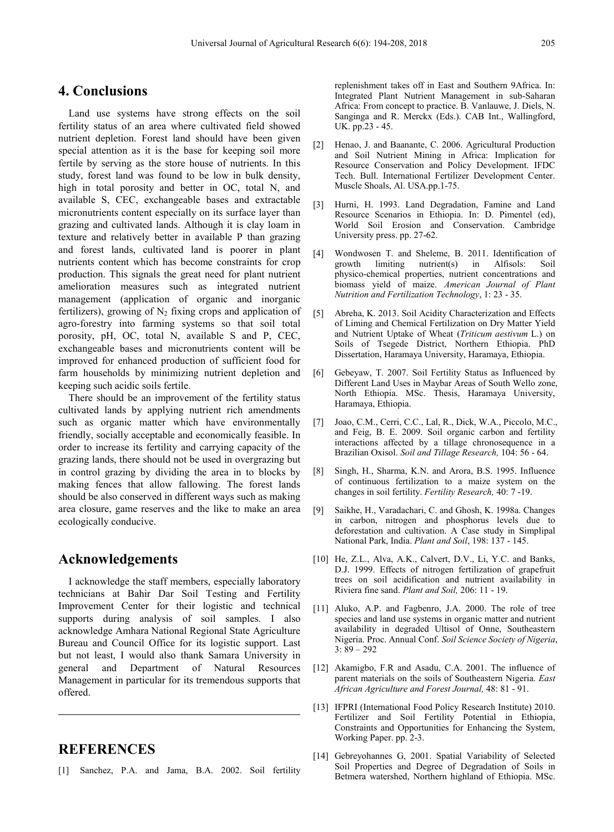## **4. Conclusions**

Land use systems have strong effects on the soil fertility status of an area where cultivated field showed nutrient depletion. Forest land should have been given special attention as it is the base for keeping soil more fertile by serving as the store house of nutrients. In this study, forest land was found to be low in bulk density, high in total porosity and better in OC, total N, and available S, CEC, exchangeable bases and extractable micronutrients content especially on its surface layer than grazing and cultivated lands. Although it is clay loam in texture and relatively better in available P than grazing and forest lands, cultivated land is poorer in plant nutrients content which has become constraints for crop production. This signals the great need for plant nutrient amelioration measures such as integrated nutrient management (application of organic and inorganic fertilizers), growing of  $N_2$  fixing crops and application of agro-forestry into farming systems so that soil total porosity, pH, OC, total N, available S and P, CEC, exchangeable bases and micronutrients content will be improved for enhanced production of sufficient food for farm households by minimizing nutrient depletion and keeping such acidic soils fertile.

There should be an improvement of the fertility status cultivated lands by applying nutrient rich amendments such as organic matter which have environmentally friendly, socially acceptable and economically feasible. In order to increase its fertility and carrying capacity of the grazing lands, there should not be used in overgrazing but in control grazing by dividing the area in to blocks by making fences that allow fallowing. The forest lands should be also conserved in different ways such as making area closure, game reserves and the like to make an area ecologically conducive.

## **Acknowledgements**

I acknowledge the staff members, especially laboratory technicians at Bahir Dar Soil Testing and Fertility Improvement Center for their logistic and technical supports during analysis of soil samples. I also acknowledge Amhara National Regional State Agriculture Bureau and Council Office for its logistic support. Last but not least, I would also thank Samara University in general and Department of Natural Resources Management in particular for its tremendous supports that offered.

# **REFERENCES**

[1] Sanchez, P.A. and Jama, B.A. 2002. Soil fertility

replenishment takes off in East and Southern 9Africa. In: Integrated Plant Nutrient Management in sub-Saharan Africa: From concept to practice. B. Vanlauwe, J. Diels, N. Sanginga and R. Merckx (Eds.). CAB Int., Wallingford, UK. pp.23 - 45.

- [2] Henao, J. and Baanante, C. 2006. Agricultural Production and Soil Nutrient Mining in Africa: Implication for Resource Conservation and Policy Development. IFDC Tech. Bull. International Fertilizer Development Center. Muscle Shoals, Al. USA.pp.1-75.
- [3] Hurni, H. 1993. Land Degradation, Famine and Land Resource Scenarios in Ethiopia. In: D. Pimentel (ed), World Soil Erosion and Conservation. Cambridge University press. pp. 27-62.
- [4] Wondwosen T. and Sheleme, B. 2011. Identification of growth limiting nutrient(s) in Alfisols: Soil physico-chemical properties, nutrient concentrations and biomass yield of maize. *American Journal of Plant Nutrition and Fertilization Technology*, 1: 23 - 35.
- [5] Abreha, K. 2013. Soil Acidity Characterization and Effects of Liming and Chemical Fertilization on Dry Matter Yield and Nutrient Uptake of Wheat (*Triticum aestivum* L.) on Soils of Tsegede District, Northern Ethiopia. PhD Dissertation, Haramaya University, Haramaya, Ethiopia.
- [6] Gebeyaw, T. 2007. Soil Fertility Status as Influenced by Different Land Uses in Maybar Areas of South Wello zone, North Ethiopia. MSc. Thesis, Haramaya University, Haramaya, Ethiopia.
- [7] Joao, C.M., Cerri, C.C., Lal, R., Dick, W.A., Piccolo, M.C., and Feig, B. E. 2009. Soil organic carbon and fertility interactions affected by a tillage chronosequence in a Brazilian Oxisol. *Soil and Tillage Research,* 104: 56 - 64.
- [8] Singh, H., Sharma, K.N. and Arora, B.S. 1995. Influence of continuous fertilization to a maize system on the changes in soil fertility. *Fertility Research,* 40: 7 -19.
- [9] Saikhe, H., Varadachari, C. and Ghosh, K. 1998a. Changes in carbon, nitrogen and phosphorus levels due to deforestation and cultivation. A Case study in Simplipal National Park, India. *Plant and Soil*, 198: 137 - 145.
- [10] He, Z.L., Alva, A.K., Calvert, D.V., Li, Y.C. and Banks, D.J. 1999. Effects of nitrogen fertilization of grapefruit trees on soil acidification and nutrient availability in Riviera fine sand. *Plant and Soil,* 206: 11 - 19.
- [11] Aluko, A.P. and Fagbenro, J.A. 2000. The role of tree species and land use systems in organic matter and nutrient availability in degraded Ultisol of Onne, Southeastern Nigeria. Proc. Annual Conf. *Soil Science Society of Nigeria*, 3: 89 – 292
- [12] Akamigbo, F.R and Asadu, C.A. 2001. The influence of parent materials on the soils of Southeastern Nigeria. *East African Agriculture and Forest Journal,* 48: 81 - 91.
- [13] IFPRI (International Food Policy Research Institute) 2010. Fertilizer and Soil Fertility Potential in Ethiopia, Constraints and Opportunities for Enhancing the System, Working Paper. pp. 2-3.
- [14] Gebreyohannes G, 2001. Spatial Variability of Selected Soil Properties and Degree of Degradation of Soils in Betmera watershed, Northern highland of Ethiopia. MSc.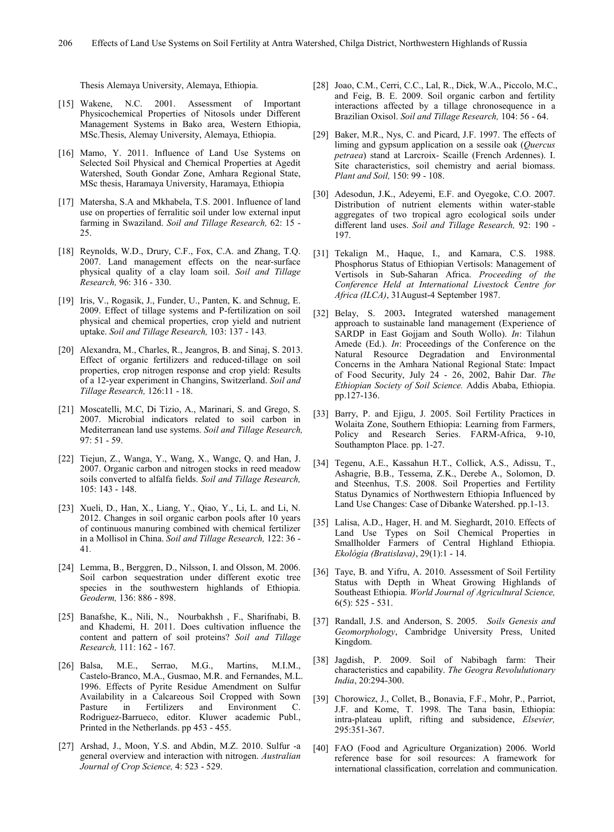Thesis Alemaya University, Alemaya, Ethiopia.

- [15] Wakene, N.C. 2001. Assessment of Important Physicochemical Properties of Nitosols under Different Management Systems in Bako area, Western Ethiopia, MSc.Thesis, Alemay University, Alemaya, Ethiopia.
- [16] Mamo, Y. 2011. Influence of Land Use Systems on Selected Soil Physical and Chemical Properties at Agedit Watershed, South Gondar Zone, Amhara Regional State, MSc thesis, Haramaya University, Haramaya, Ethiopia
- [17] Matersha, S.A and Mkhabela, T.S. 2001. Influence of land use on properties of ferralitic soil under low external input farming in Swaziland. *Soil and Tillage Research,* 62: 15 - 25.
- [18] Reynolds, W.D., Drury, C.F., Fox, C.A. and Zhang, T.Q. 2007. Land management effects on the near-surface physical quality of a clay loam soil. *Soil and Tillage Research,* 96: 316 - 330.
- [19] Iris, V., Rogasik, J., Funder, U., Panten, K. and Schnug, E. 2009. Effect of tillage systems and P-fertilization on soil physical and chemical properties, crop yield and nutrient uptake. *Soil and Tillage Research,* 103: 137 - 143*.*
- [20] Alexandra, M., Charles, R., Jeangros, B. and Sinaj, S. 2013. Effect of organic fertilizers and reduced-tillage on soil properties, crop nitrogen response and crop yield: Results of a 12-year experiment in Changins, Switzerland. *Soil and Tillage Research,* 126:11 - 18.
- [21] Moscatelli, M.C, Di Tizio, A., Marinari, S. and Grego, S. 2007. Microbial indicators related to soil carbon in Mediterranean land use systems. *Soil and Tillage Research,* 97: 51 - 59.
- [22] Tiejun, Z., Wanga, Y., Wang, X., Wangc, Q. and Han, J. 2007. Organic carbon and nitrogen stocks in reed meadow soils converted to alfalfa fields. *Soil and Tillage Research,*  105: 143 - 148.
- [23] Xueli, D., Han, X., Liang, Y., Qiao, Y., Li, L. and Li, N. 2012. Changes in soil organic carbon pools after 10 years of continuous manuring combined with chemical fertilizer in a Mollisol in China. *Soil and Tillage Research,* 122: 36 - 41*.*
- [24] Lemma, B., Berggren, D., Nilsson, I. and Olsson, M. 2006. Soil carbon sequestration under different exotic tree species in the southwestern highlands of Ethiopia. *Geoderm,* 136: 886 - 898.
- [25] Banafshe, K., Nili, N., Nourbakhsh , F., Sharifnabi, B. and Khademi, H. 2011. Does cultivation influence the content and pattern of soil proteins? *Soil and Tillage Research,* 111: 162 - 167*.*
- [26] Balsa, M.E., Serrao, M.G., Martins, M.I.M., Castelo-Branco, M.A., Gusmao, M.R. and Fernandes, M.L. 1996. Effects of Pyrite Residue Amendment on Sulfur Availability in a Calcareous Soil Cropped with Sown Pasture in Fertilizers and Environment C. Rodriguez-Barrueco, editor. Kluwer academic Publ., Printed in the Netherlands. pp 453 - 455.
- [27] Arshad, J., Moon, Y.S. and Abdin, M.Z. 2010. Sulfur -a general overview and interaction with nitrogen. *Australian Journal of Crop Science,* 4: 523 - 529.
- [28] Joao, C.M., Cerri, C.C., Lal, R., Dick, W.A., Piccolo, M.C., and Feig, B. E. 2009. Soil organic carbon and fertility interactions affected by a tillage chronosequence in a Brazilian Oxisol. *Soil and Tillage Research,* 104: 56 - 64.
- [29] Baker, M.R., Nys, C. and Picard, J.F. 1997. The effects of liming and gypsum application on a sessile oak (*Quercus petraea*) stand at Larcroix- Scaille (French Ardennes). I. Site characteristics, soil chemistry and aerial biomass. *Plant and Soil,* 150: 99 - 108.
- [30] Adesodun, J.K., Adevemi, E.F. and Oyegoke, C.O. 2007. Distribution of nutrient elements within water-stable aggregates of two tropical agro ecological soils under different land uses. *Soil and Tillage Research,* 92: 190 - 197.
- [31] Tekalign M., Haque, I., and Kamara, C.S. 1988. Phosphorus Status of Ethiopian Vertisols: Management of Vertisols in Sub-Saharan Africa. *Proceeding of the Conference Held at International Livestock Centre for Africa (ILCA)*, 31August-4 September 1987.
- [32] Belay, S. 2003**.** Integrated watershed management approach to sustainable land management (Experience of SARDP in East Gojjam and South Wollo). *In*: Tilahun Amede (Ed.). *In*: Proceedings of the Conference on the Natural Resource Degradation and Environmental Concerns in the Amhara National Regional State: Impact of Food Security, July 24 - 26, 2002, Bahir Dar. *The Ethiopian Society of Soil Science.* Addis Ababa, Ethiopia. pp.127-136.
- [33] Barry, P. and Ejigu, J. 2005. Soil Fertility Practices in Wolaita Zone, Southern Ethiopia: Learning from Farmers, Policy and Research Series. FARM-Africa, 9-10, Southampton Place. pp. 1-27.
- [34] Tegenu, A.E., Kassahun H.T., Collick, A.S., Adissu, T., Ashagrie, B.B., Tessema, Z.K., Derebe A., Solomon, D. and Steenhus, T.S. 2008. Soil Properties and Fertility Status Dynamics of Northwestern Ethiopia Influenced by Land Use Changes: Case of Dibanke Watershed. pp.1-13.
- [35] Lalisa, A.D., Hager, H. and M. Sieghardt, 2010. Effects of Land Use Types on Soil Chemical Properties in Smallholder Farmers of Central Highland Ethiopia. *Ekológia (Bratislava)*, 29(1):1 - 14.
- [36] Taye, B. and Yifru, A. 2010. Assessment of Soil Fertility Status with Depth in Wheat Growing Highlands of Southeast Ethiopia. *World Journal of Agricultural Science,* 6(5): 525 - 531.
- [37] Randall, J.S. and Anderson, S. 2005. *Soils Genesis and Geomorphology*, Cambridge University Press, United Kingdom.
- [38] Jagdish, P. 2009. Soil of Nabibagh farm: Their characteristics and capability. *The Geogra Revolulutionary India*, 20:294-300.
- [39] Chorowicz, J., Collet, B., Bonavia, F.F., Mohr, P., Parriot, J.F. and Kome, T. 1998. The Tana basin, Ethiopia: intra-plateau uplift, rifting and subsidence, *Elsevier,*  295:351-367.
- [40] FAO (Food and Agriculture Organization) 2006. World reference base for soil resources: A framework for international classification, correlation and communication.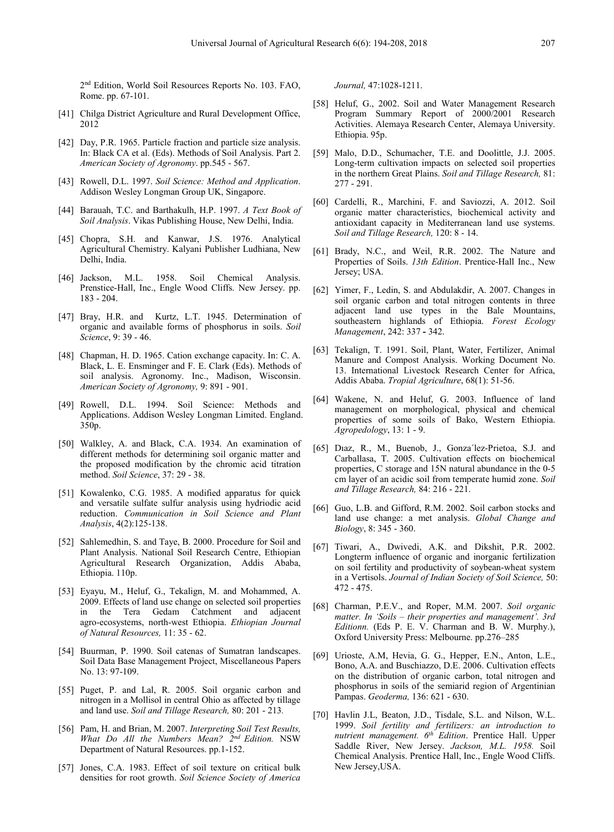2nd Edition, World Soil Resources Reports No. 103. FAO, Rome. pp. 67-101.

- [41] Chilga District Agriculture and Rural Development Office, 2012
- [42] Day, P.R. 1965. Particle fraction and particle size analysis. In: Black CA et al. (Eds). Methods of Soil Analysis. Part 2. *American Society of Agronomy*. pp.545 - 567.
- [43] Rowell, D.L. 1997. *Soil Science: Method and Application*. Addison Wesley Longman Group UK, Singapore.
- [44] Barauah, T.C. and Barthakulh, H.P. 1997. *A Text Book of Soil Analysis*. Vikas Publishing House, New Delhi, India.
- [45] Chopra, S.H. and Kanwar, J.S. 1976. Analytical Agricultural Chemistry. Kalyani Publisher Ludhiana, New Delhi, India.
- [46] Jackson, M.L. 1958. Soil Chemical Analysis. Prenstice-Hall, Inc., Engle Wood Cliffs. New Jersey. pp. 183 - 204.
- [47] Bray, H.R. and Kurtz, L.T. 1945. Determination of organic and available forms of phosphorus in soils. *Soil Science*, 9: 39 - 46.
- [48] Chapman, H. D. 1965. Cation exchange capacity. In: C. A. Black, L. E. Ensminger and F. E. Clark (Eds). Methods of soil analysis. Agronomy. Inc., Madison, Wisconsin. *American Society of Agronomy,* 9: 891 - 901.
- [49] Rowell, D.L. 1994. Soil Science: Methods and Applications. Addison Wesley Longman Limited. England. 350p.
- [50] Walkley, A. and Black, C.A. 1934. An examination of different methods for determining soil organic matter and the proposed modification by the chromic acid titration method. *Soil Science*, 37: 29 - 38.
- [51] Kowalenko, C.G. 1985. A modified apparatus for quick and versatile sulfate sulfur analysis using hydriodic acid reduction. *Communication in Soil Science and Plant Analysis*, 4(2):125-138.
- [52] Sahlemedhin, S. and Taye, B. 2000. Procedure for Soil and Plant Analysis. National Soil Research Centre, Ethiopian Agricultural Research Organization, Addis Ababa, Ethiopia. 110p.
- [53] Eyayu, M., Heluf, G., Tekalign, M. and Mohammed, A. 2009. Effects of land use change on selected soil properties in the Tera Gedam Catchment and adjacent agro-ecosystems, north-west Ethiopia. *Ethiopian Journal of Natural Resources,* 11: 35 - 62.
- [54] Buurman, P. 1990. Soil catenas of Sumatran landscapes. Soil Data Base Management Project, Miscellaneous Papers No. 13: 97-109.
- [55] Puget, P. and Lal, R. 2005. Soil organic carbon and nitrogen in a Mollisol in central Ohio as affected by tillage and land use. *Soil and Tillage Research,* 80: 201 - 213*.*
- [56] Pam, H. and Brian, M. 2007. *Interpreting Soil Test Results, What Do All the Numbers Mean? 2nd Edition.* NSW Department of Natural Resources. pp.1-152.
- [57] Jones, C.A. 1983. Effect of soil texture on critical bulk densities for root growth. *Soil Science Society of America*

*Journal,* 47:1028-1211.

- [58] Heluf, G., 2002. Soil and Water Management Research Program Summary Report of 2000/2001 Research Activities. Alemaya Research Center, Alemaya University. Ethiopia. 95p.
- [59] Malo, D.D., Schumacher, T.E. and Doolittle, J.J. 2005. Long-term cultivation impacts on selected soil properties in the northern Great Plains. *Soil and Tillage Research,* 81: 277 - 291.
- [60] Cardelli, R., Marchini, F. and Saviozzi, A. 2012. Soil organic matter characteristics, biochemical activity and antioxidant capacity in Mediterranean land use systems. *Soil and Tillage Research,* 120: 8 - 14.
- [61] Brady, N.C., and Weil, R.R. 2002. The Nature and Properties of Soils. *13th Edition*. Prentice-Hall Inc., New Jersey; USA.
- [62] Yimer, F., Ledin, S. and Abdulakdir, A. 2007. Changes in soil organic carbon and total nitrogen contents in three adjacent land use types in the Bale Mountains, southeastern highlands of Ethiopia. *Forest Ecology Management*, 242: 337 **-** 342.
- [63] Tekalign, T. 1991. Soil, Plant, Water, Fertilizer, Animal Manure and Compost Analysis. Working Document No. 13. International Livestock Research Center for Africa, Addis Ababa. *Tropial Agriculture*, 68(1): 51-56.
- [64] Wakene, N. and Heluf, G. 2003. Influence of land management on morphological, physical and chemical properties of some soils of Bako, Western Ethiopia. *Agropedology*, 13: 1 - 9.
- [65] Dıaz, R., M., Buenob, J., Gonza´lez-Prietoa, S.J. and Carballasa, T. 2005. Cultivation effects on biochemical properties, C storage and 15N natural abundance in the 0-5 cm layer of an acidic soil from temperate humid zone. *Soil and Tillage Research,* 84: 216 - 221.
- [66] Guo, L.B. and Gifford, R.M. 2002. Soil carbon stocks and land use change: a met analysis. *Global Change and Biology*, 8: 345 - 360.
- [67] Tiwari, A., Dwivedi, A.K. and Dikshit, P.R. 2002. Longterm influence of organic and inorganic fertilization on soil fertility and productivity of soybean-wheat system in a Vertisols. *Journal of Indian Society of Soil Science,* 50: 472 - 475.
- [68] Charman, P.E.V., and Roper, M.M. 2007. *Soil organic matter. In 'Soils – their properties and management'. 3rd Editionn.* (Eds P. E. V. Charman and B. W. Murphy.), Oxford University Press: Melbourne. pp.276–285
- [69] Urioste, A.M, Hevia, G. G., Hepper, E.N., Anton, L.E., Bono, A.A. and Buschiazzo, D.E. 2006. Cultivation effects on the distribution of organic carbon, total nitrogen and phosphorus in soils of the semiarid region of Argentinian Pampas. *Geoderma,* 136: 621 - 630.
- [70] Havlin J.L, Beaton, J.D., Tisdale, S.L. and Nilson, W.L. 1999. *Soil fertility and fertilizers: an introduction to nutrient management. 6th Edition*. Prentice Hall. Upper Saddle River, New Jersey. *Jackson, M.L. 1958.* Soil Chemical Analysis. Prentice Hall, Inc., Engle Wood Cliffs. New Jersey,USA.